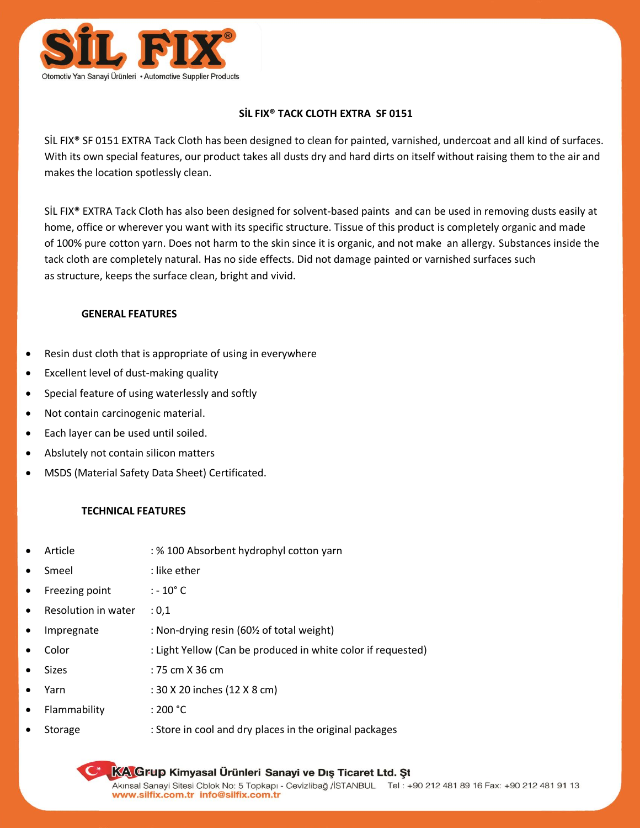

## **SİL FIX® TACK CLOTH EXTRA SF 0151**

SİL FIX® SF 0151 EXTRA Tack Cloth has been designed to clean for painted, varnished, undercoat and all kind of surfaces. With its own special features, our product takes all dusts dry and hard dirts on itself without raising them to the air and makes the location spotlessly clean.

SİL FIX® EXTRA Tack Cloth has also been designed for solvent-based paints and can be used in removing dusts easily at home, office or wherever you want with its specific structure. Tissue of this product is completely organic and made of 100% pure cotton yarn. Does not harm to the skin since it is organic, and not make an allergy. Substances inside the tack cloth are completely natural. Has no side effects. Did not damage painted or varnished surfaces such as structure, keeps the surface clean, bright and vivid.

## **GENERAL FEATURES**

- Resin dust cloth that is appropriate of using in everywhere
- Excellent level of dust-making quality
- Special feature of using waterlessly and softly
- Not contain carcinogenic material.
- Each layer can be used until soiled.
- Abslutely not contain silicon matters
- MSDS (Material Safety Data Sheet) Certificated.

## **TECHNICAL FEATURES**

| $\bullet$ | Article             | : % 100 Absorbent hydrophyl cotton yarn                      |
|-----------|---------------------|--------------------------------------------------------------|
| $\bullet$ | Smeel               | : like ether                                                 |
| $\bullet$ | Freezing point      | $: -10^{\circ}$ C                                            |
| $\bullet$ | Resolution in water | : 0.1                                                        |
| $\bullet$ | Impregnate          | : Non-drying resin (60% of total weight)                     |
| $\bullet$ | Color               | : Light Yellow (Can be produced in white color if requested) |
| $\bullet$ | <b>Sizes</b>        | : 75 cm X 36 cm                                              |
| $\bullet$ | Yarn                | : 30 X 20 inches (12 X 8 cm)                                 |
| $\bullet$ | Flammability        | :200 °C                                                      |
| $\bullet$ | Storage             | : Store in cool and dry places in the original packages      |

KA Grup Kimyasal Ürünleri Sanayi ve Dış Ticaret Ltd. St Akınsal Sanayi Sitesi Cblok No: 5 Topkapı - Cevizlibağ /İSTANBUL Tel: +90 212 481 89 16 Fax: +90 212 481 91 13 www.silfix.com.tr\_info@silfix.com.tr